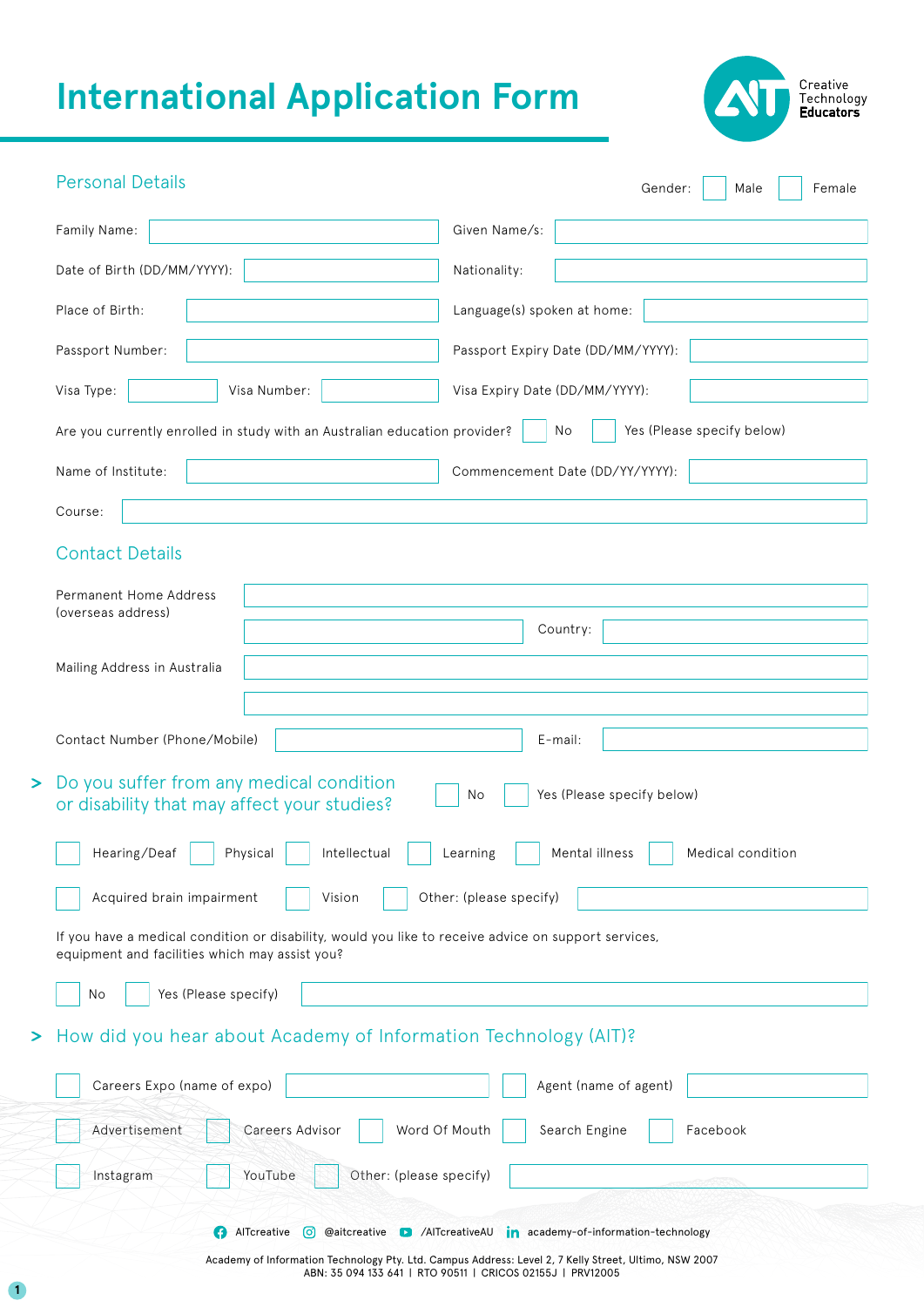# **International Application Form**



| <b>Personal Details</b>                                                                                                                                | Female<br>Gender:<br>Male                       |  |  |  |
|--------------------------------------------------------------------------------------------------------------------------------------------------------|-------------------------------------------------|--|--|--|
| Family Name:                                                                                                                                           | Given Name/s:                                   |  |  |  |
| Date of Birth (DD/MM/YYYY):                                                                                                                            | Nationality:                                    |  |  |  |
| Place of Birth:                                                                                                                                        | Language(s) spoken at home:                     |  |  |  |
| Passport Number:                                                                                                                                       | Passport Expiry Date (DD/MM/YYYY):              |  |  |  |
| Visa Type:<br>Visa Number:                                                                                                                             | Visa Expiry Date (DD/MM/YYYY):                  |  |  |  |
| Are you currently enrolled in study with an Australian education provider?                                                                             | Yes (Please specify below)<br>No                |  |  |  |
| Name of Institute:                                                                                                                                     | Commencement Date (DD/YY/YYYY):                 |  |  |  |
| Course:                                                                                                                                                |                                                 |  |  |  |
| <b>Contact Details</b>                                                                                                                                 |                                                 |  |  |  |
| <b>Permanent Home Address</b>                                                                                                                          |                                                 |  |  |  |
| (overseas address)                                                                                                                                     | Country:                                        |  |  |  |
| Mailing Address in Australia                                                                                                                           |                                                 |  |  |  |
|                                                                                                                                                        |                                                 |  |  |  |
| Contact Number (Phone/Mobile)                                                                                                                          | E-mail:                                         |  |  |  |
| Do you suffer from any medical condition<br>or disability that may affect your studies?                                                                | Yes (Please specify below)<br>No                |  |  |  |
| Hearing/Deaf<br>Physical<br>Intellectual                                                                                                               | Mental illness<br>Learning<br>Medical condition |  |  |  |
| Acquired brain impairment<br>Vision                                                                                                                    | Other: (please specify)                         |  |  |  |
| If you have a medical condition or disability, would you like to receive advice on support services,<br>equipment and facilities which may assist you? |                                                 |  |  |  |
| Yes (Please specify)<br>No                                                                                                                             |                                                 |  |  |  |
| How did you hear about Academy of Information Technology (AIT)?                                                                                        |                                                 |  |  |  |
| Careers Expo (name of expo)<br>Agent (name of agent)                                                                                                   |                                                 |  |  |  |
| Advertisement<br>Careers Advisor<br>Word Of Mouth<br>Search Engine<br>Facebook                                                                         |                                                 |  |  |  |
| YouTube<br>Other: (please specify)<br>Instagram                                                                                                        |                                                 |  |  |  |
| AlTcreative<br>@aitcreative D /AlTcreativeAU<br>[o]                                                                                                    | in academy-of-information-technology            |  |  |  |

Academy of Information Technology Pty. Ltd. Campus Address: Level 2, 7 Kelly Street, Ultimo, NSW 2007 ABN: 35 094 133 641 | RTO 90511 | CRICOS 02155J | PRV12005

**1**

 $\mathbf{L}$ 

 $\mathbf{L}$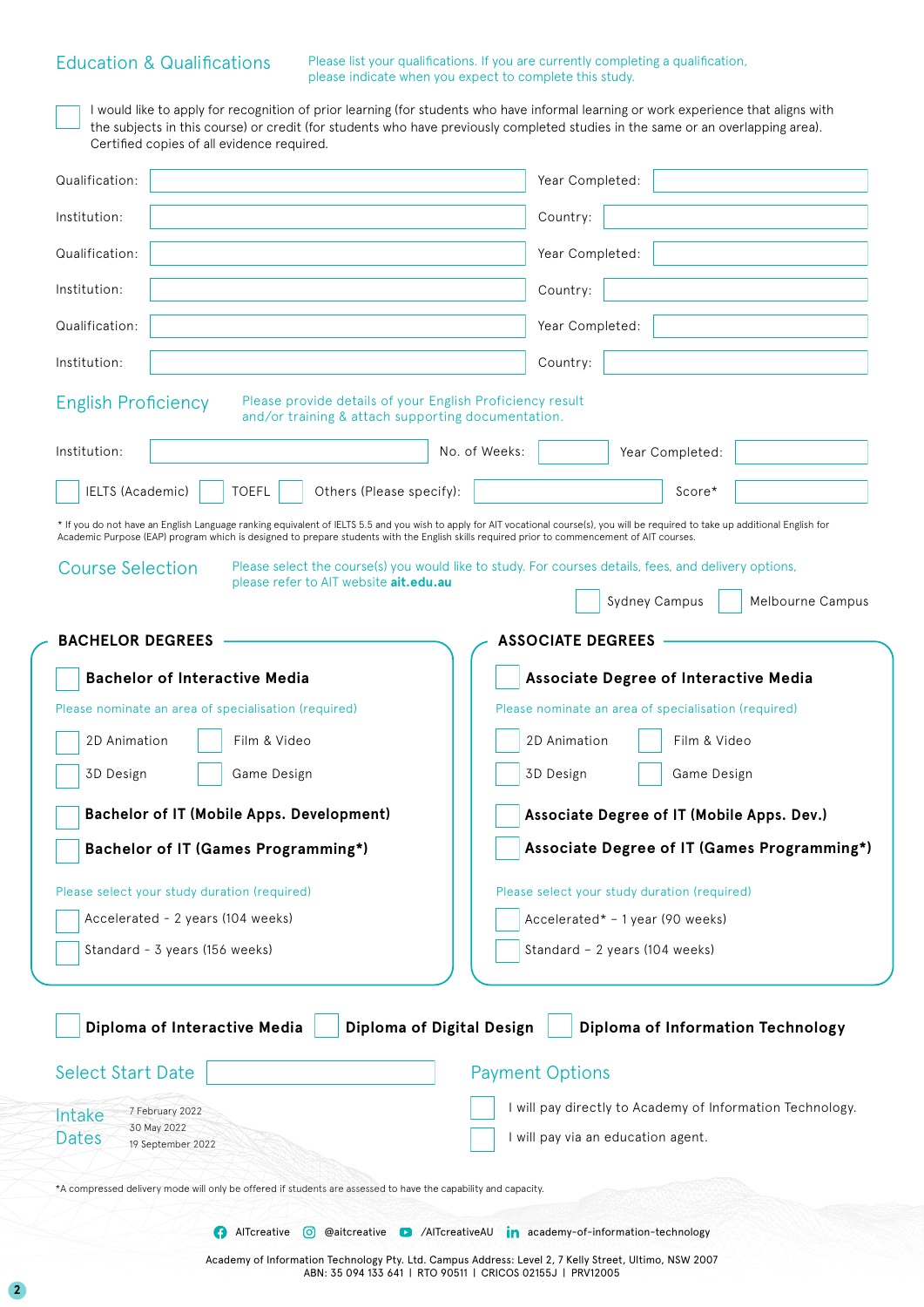#### Education & Qualifications

**2**

Please list your qualifications. If you are currently completing a qualification, please indicate when you expect to complete this study.

I would like to apply for recognition of prior learning (for students who have informal learning or work experience that aligns with the subjects in this course) or credit (for students who have previously completed studies in the same or an overlapping area). Certified copies of all evidence required.

| Qualification:                                                                                                                                                                                                                                                                                                                     | Year Completed:                                                                                       |  |  |
|------------------------------------------------------------------------------------------------------------------------------------------------------------------------------------------------------------------------------------------------------------------------------------------------------------------------------------|-------------------------------------------------------------------------------------------------------|--|--|
| Institution:                                                                                                                                                                                                                                                                                                                       | Country:                                                                                              |  |  |
| Qualification:                                                                                                                                                                                                                                                                                                                     | Year Completed:                                                                                       |  |  |
| Institution:                                                                                                                                                                                                                                                                                                                       | Country:                                                                                              |  |  |
| Qualification:                                                                                                                                                                                                                                                                                                                     | Year Completed:                                                                                       |  |  |
| Institution:                                                                                                                                                                                                                                                                                                                       | Country:                                                                                              |  |  |
| Please provide details of your English Proficiency result<br><b>English Proficiency</b><br>and/or training & attach supporting documentation.                                                                                                                                                                                      |                                                                                                       |  |  |
| Institution:                                                                                                                                                                                                                                                                                                                       | No. of Weeks:<br>Year Completed:                                                                      |  |  |
| <b>IELTS (Academic)</b><br><b>TOEFL</b><br>Others (Please specify):                                                                                                                                                                                                                                                                | Score*                                                                                                |  |  |
| * If you do not have an English Language ranking equivalent of IELTS 5.5 and you wish to apply for AIT vocational course(s), you will be required to take up additional English for<br>Academic Purpose (EAP) program which is designed to prepare students with the English skills required prior to commencement of AIT courses. |                                                                                                       |  |  |
| <b>Course Selection</b>                                                                                                                                                                                                                                                                                                            | Please select the course(s) you would like to study. For courses details, fees, and delivery options, |  |  |
| please refer to AIT website ait.edu.au                                                                                                                                                                                                                                                                                             | <b>Sydney Campus</b><br>Melbourne Campus                                                              |  |  |
| <b>BACHELOR DEGREES</b>                                                                                                                                                                                                                                                                                                            | <b>ASSOCIATE DEGREES</b>                                                                              |  |  |
| <b>Bachelor of Interactive Media</b>                                                                                                                                                                                                                                                                                               | <b>Associate Degree of Interactive Media</b>                                                          |  |  |
| Please nominate an area of specialisation (required)                                                                                                                                                                                                                                                                               | Please nominate an area of specialisation (required)                                                  |  |  |
| Film & Video<br>2D Animation                                                                                                                                                                                                                                                                                                       | Film & Video<br>2D Animation                                                                          |  |  |
| 3D Design<br>Game Design                                                                                                                                                                                                                                                                                                           | 3D Design<br>Game Design                                                                              |  |  |
| <b>Bachelor of IT (Mobile Apps. Development)</b>                                                                                                                                                                                                                                                                                   | Associate Degree of IT (Mobile Apps. Dev.)                                                            |  |  |
| <b>Bachelor of IT (Games Programming*)</b>                                                                                                                                                                                                                                                                                         | Associate Degree of IT (Games Programming*)                                                           |  |  |
| Please select your study duration (required)                                                                                                                                                                                                                                                                                       | Please select your study duration (required)                                                          |  |  |
| Accelerated - 2 years (104 weeks)<br>Accelerated* - 1 year (90 weeks)                                                                                                                                                                                                                                                              |                                                                                                       |  |  |
| Standard - 3 years (156 weeks)                                                                                                                                                                                                                                                                                                     | Standard - 2 years (104 weeks)                                                                        |  |  |
| Diploma of Digital Design<br>Diploma of Interactive Media<br><b>Select Start Date</b>                                                                                                                                                                                                                                              | Diploma of Information Technology<br><b>Payment Options</b>                                           |  |  |
|                                                                                                                                                                                                                                                                                                                                    |                                                                                                       |  |  |
| I will pay directly to Academy of Information Technology.<br>7 February 2022<br>Intake<br>30 May 2022<br>Dates<br>I will pay via an education agent.                                                                                                                                                                               |                                                                                                       |  |  |
| 19 September 2022                                                                                                                                                                                                                                                                                                                  |                                                                                                       |  |  |
| *A compressed delivery mode will only be offered if students are assessed to have the capability and capacity.                                                                                                                                                                                                                     |                                                                                                       |  |  |
| AlTcreative<br>$\lbrack 0 \rbrack$                                                                                                                                                                                                                                                                                                 | <b>@aitcreative C</b> /AITcreativeAU <b>in</b> academy-of-information-technology                      |  |  |
|                                                                                                                                                                                                                                                                                                                                    | Codemy of Information Technology Pty 1td. Campus Address: Level 2, 7 Kelly Street, Ultimo, NSW 2007   |  |  |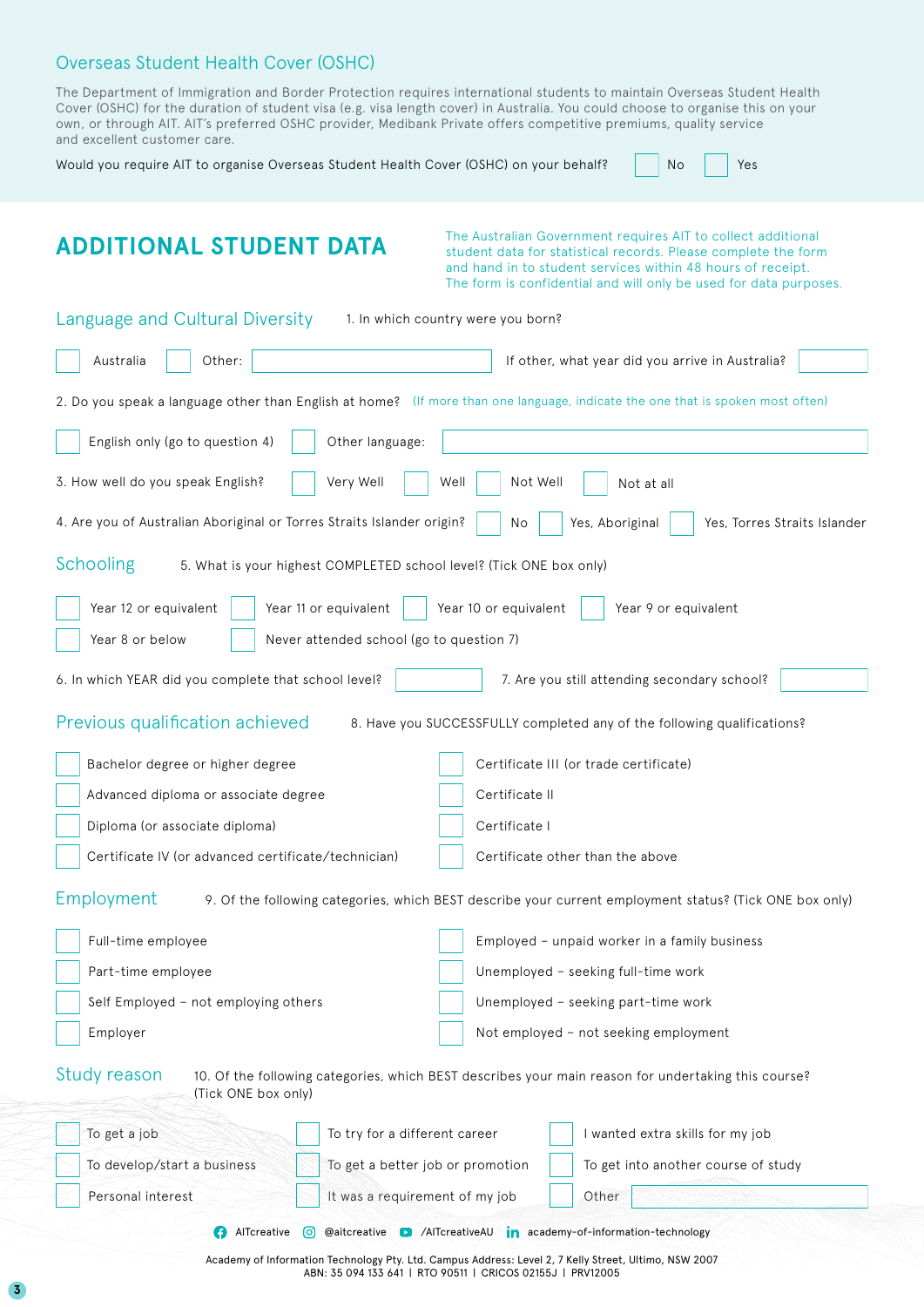#### Overseas Student Health Cover (OSHC)

| The Department of Immigration and Border Protection requires international students to maintain Overseas Student Health        |  |  |  |
|--------------------------------------------------------------------------------------------------------------------------------|--|--|--|
| Cover (OSHC) for the duration of student visa (e.g. visa length cover) in Australia. You could choose to organise this on your |  |  |  |
| own, or through AIT. AIT's preferred OSHC provider, Medibank Private offers competitive premiums, quality service              |  |  |  |
| and excellent customer care.                                                                                                   |  |  |  |

| Would you require AIT to organise Overseas Student Health Cover (OSHC) on your behalf? | <b>No</b> |  |
|----------------------------------------------------------------------------------------|-----------|--|
|----------------------------------------------------------------------------------------|-----------|--|

## **ADDITIONAL STUDENT DATA**

The Australian Government requires AIT to collect additional student data for statistical records. Please complete the form and hand in to student services within 48 hours of receipt. The form is confidential and will only be used for data purposes.

Yes

| Language and Cultural Diversity<br>1. In which country were you born?                                                                      |  |  |  |  |  |
|--------------------------------------------------------------------------------------------------------------------------------------------|--|--|--|--|--|
| Australia<br>Other:<br>If other, what year did you arrive in Australia?                                                                    |  |  |  |  |  |
| 2. Do you speak a language other than English at home? (If more than one language, indicate the one that is spoken most often)             |  |  |  |  |  |
| Other language:<br>English only (go to question 4)                                                                                         |  |  |  |  |  |
| 3. How well do you speak English?<br>Very Well<br>Not Well<br>Well<br>Not at all                                                           |  |  |  |  |  |
| 4. Are you of Australian Aboriginal or Torres Straits Islander origin?<br>Yes, Aboriginal<br>Yes, Torres Straits Islander<br>No            |  |  |  |  |  |
| Schooling<br>5. What is your highest COMPLETED school level? (Tick ONE box only)                                                           |  |  |  |  |  |
| Year 11 or equivalent<br>Year 10 or equivalent<br>Year 9 or equivalent<br>Year 12 or equivalent                                            |  |  |  |  |  |
| Year 8 or below<br>Never attended school (go to question 7)                                                                                |  |  |  |  |  |
| 6. In which YEAR did you complete that school level?<br>7. Are you still attending secondary school?                                       |  |  |  |  |  |
| Previous qualification achieved<br>8. Have you SUCCESSFULLY completed any of the following qualifications?                                 |  |  |  |  |  |
| Bachelor degree or higher degree<br>Certificate III (or trade certificate)                                                                 |  |  |  |  |  |
| Certificate II<br>Advanced diploma or associate degree                                                                                     |  |  |  |  |  |
| Diploma (or associate diploma)<br>Certificate I                                                                                            |  |  |  |  |  |
| Certificate IV (or advanced certificate/technician)<br>Certificate other than the above                                                    |  |  |  |  |  |
| Employment<br>9. Of the following categories, which BEST describe your current employment status? (Tick ONE box only)                      |  |  |  |  |  |
| Full-time employee<br>Employed - unpaid worker in a family business                                                                        |  |  |  |  |  |
| Unemployed - seeking full-time work<br>Part-time employee                                                                                  |  |  |  |  |  |
| Self Employed - not employing others<br>Unemployed - seeking part-time work                                                                |  |  |  |  |  |
| Not employed - not seeking employment<br>Employer                                                                                          |  |  |  |  |  |
| Study reason<br>10. Of the following categories, which BEST describes your main reason for undertaking this course?<br>(Tick ONE box only) |  |  |  |  |  |
| To get a job<br>To try for a different career<br>I wanted extra skills for my job                                                          |  |  |  |  |  |
| To develop/start a business<br>To get a better job or promotion<br>To get into another course of study                                     |  |  |  |  |  |
| Personal interest<br>It was a requirement of my job<br>Other                                                                               |  |  |  |  |  |
| AlTcreative<br>@aitcreative D /AITcreativeAU in academy-of-information-technology<br>[၀]                                                   |  |  |  |  |  |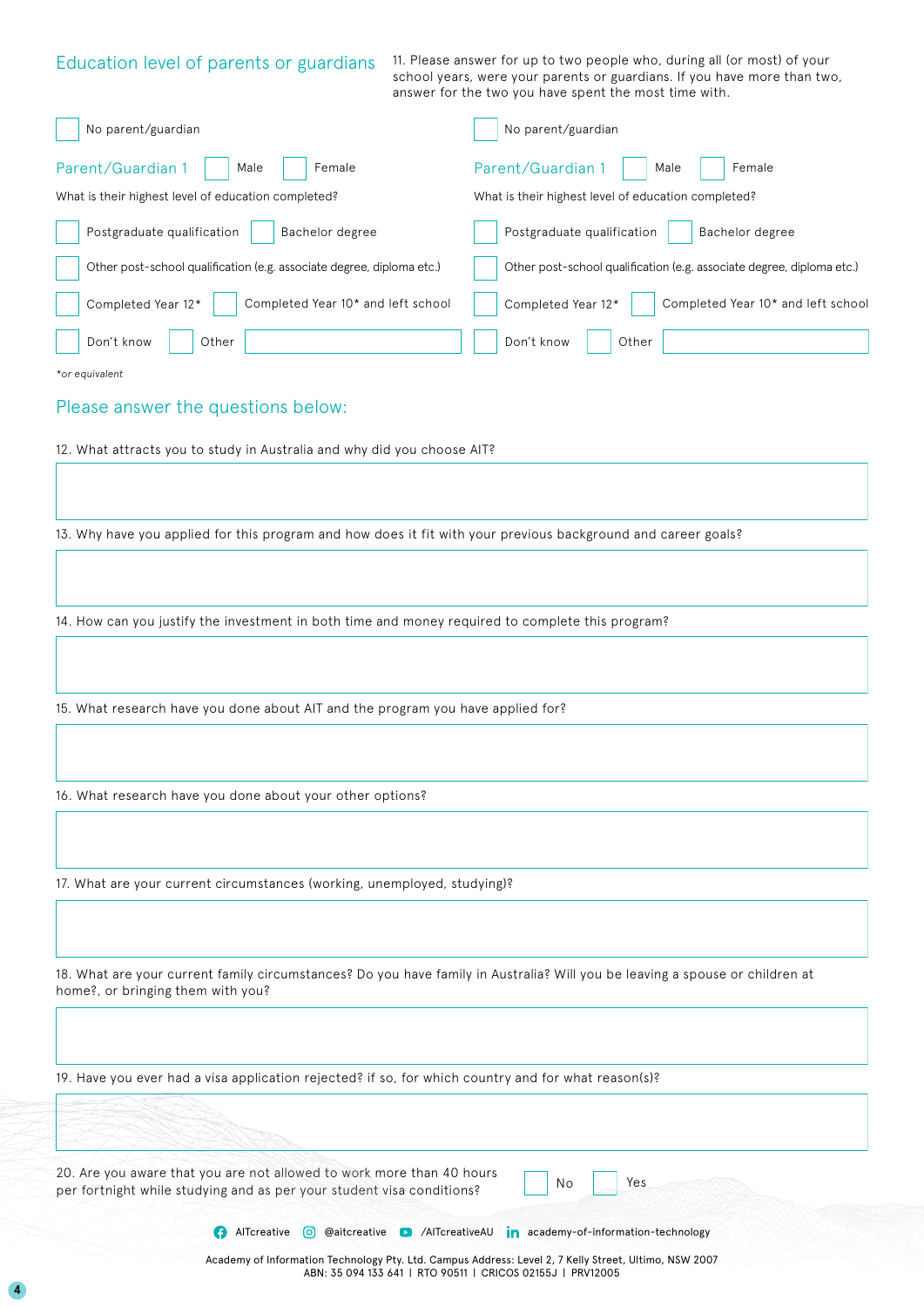| Education level of parents or guardians                                                             | 11. Please answer for up to two people who, during all (or most) of your<br>school years, were your parents or guardians. If you have more than two,<br>answer for the two you have spent the most time with. |
|-----------------------------------------------------------------------------------------------------|---------------------------------------------------------------------------------------------------------------------------------------------------------------------------------------------------------------|
| No parent/guardian                                                                                  | No parent/guardian                                                                                                                                                                                            |
| Parent/Guardian 1<br>Male<br>Female                                                                 | Parent/Guardian 1<br>Female<br>Male                                                                                                                                                                           |
| What is their highest level of education completed?                                                 | What is their highest level of education completed?                                                                                                                                                           |
| Postgraduate qualification<br>Bachelor degree                                                       | Postgraduate qualification<br>Bachelor degree                                                                                                                                                                 |
| Other post-school qualification (e.g. associate degree, diploma etc.)                               | Other post-school qualification (e.g. associate degree, diploma etc.)                                                                                                                                         |
| Completed Year 12*<br>Completed Year 10* and left school                                            | Completed Year 12*<br>Completed Year 10* and left school                                                                                                                                                      |
| Don't know<br>Other                                                                                 | Don't know<br>Other                                                                                                                                                                                           |
| *or equivalent                                                                                      |                                                                                                                                                                                                               |
| Please answer the questions below:                                                                  |                                                                                                                                                                                                               |
| 12. What attracts you to study in Australia and why did you choose AIT?                             |                                                                                                                                                                                                               |
|                                                                                                     |                                                                                                                                                                                                               |
|                                                                                                     |                                                                                                                                                                                                               |
|                                                                                                     | 13. Why have you applied for this program and how does it fit with your previous background and career goals?                                                                                                 |
|                                                                                                     |                                                                                                                                                                                                               |
| 14. How can you justify the investment in both time and money required to complete this program?    |                                                                                                                                                                                                               |
|                                                                                                     |                                                                                                                                                                                                               |
|                                                                                                     |                                                                                                                                                                                                               |
| 15. What research have you done about AIT and the program you have applied for?                     |                                                                                                                                                                                                               |
|                                                                                                     |                                                                                                                                                                                                               |
|                                                                                                     |                                                                                                                                                                                                               |
| 16. What research have you done about your other options?                                           |                                                                                                                                                                                                               |
|                                                                                                     |                                                                                                                                                                                                               |
| 17. What are your current circumstances (working, unemployed, studying)?                            |                                                                                                                                                                                                               |
|                                                                                                     |                                                                                                                                                                                                               |
|                                                                                                     |                                                                                                                                                                                                               |
| home?, or bringing them with you?                                                                   | 18. What are your current family circumstances? Do you have family in Australia? Will you be leaving a spouse or children at                                                                                  |
|                                                                                                     |                                                                                                                                                                                                               |
| 19. Have you ever had a visa application rejected? if so, for which country and for what reason(s)? |                                                                                                                                                                                                               |
|                                                                                                     |                                                                                                                                                                                                               |
|                                                                                                     |                                                                                                                                                                                                               |

20. Are you aware that you are not allowed to work more than 40 hours per fortnight while studying and as per your student visa conditions?

**AITcreative @ @aitcreative D** /AITcreativeAU **in** academy-of-information-technology

No Yes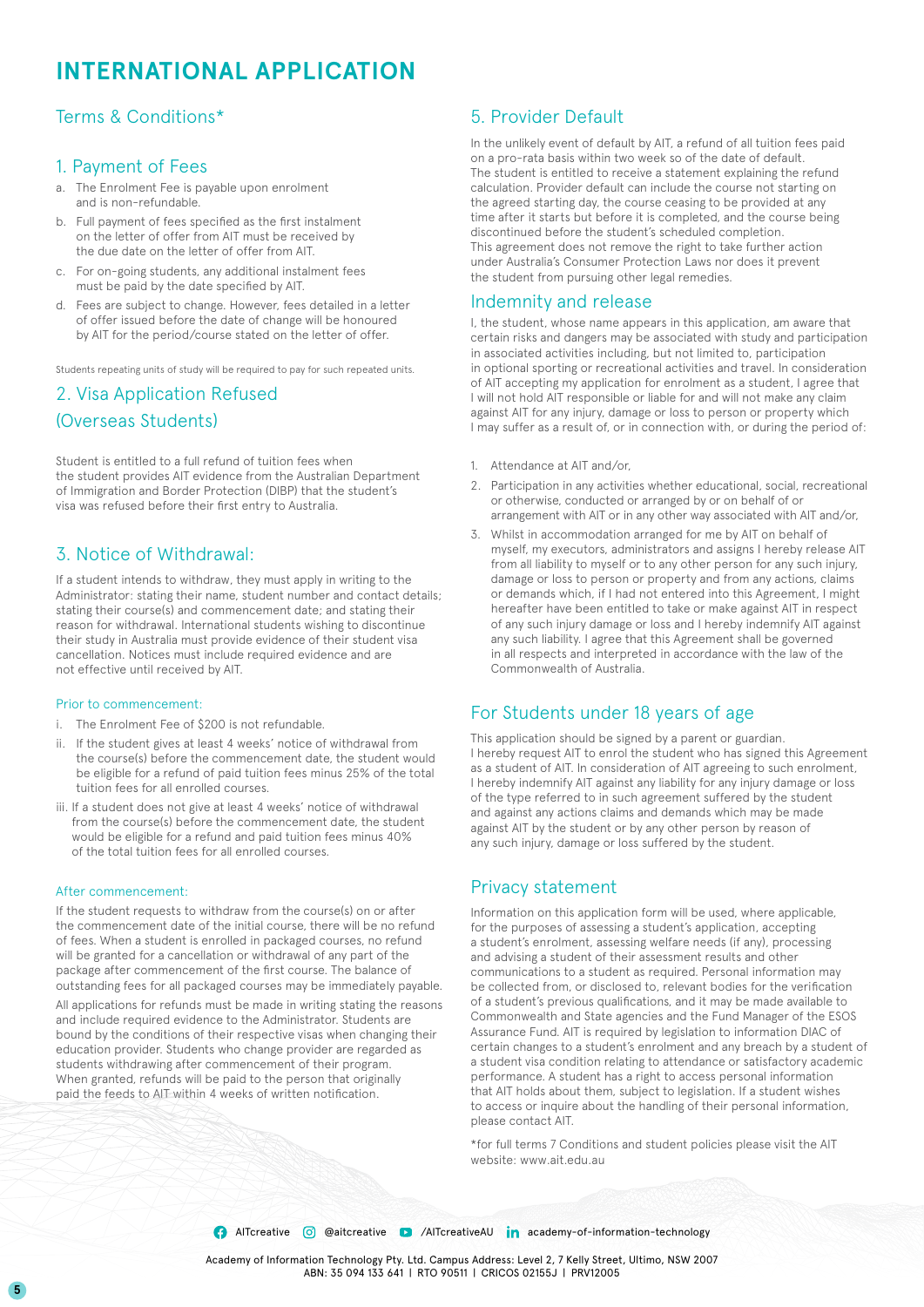### **INTERNATIONAL APPLICATION**

#### Terms & Conditions\*

#### 1. Payment of Fees

- a. The Enrolment Fee is payable upon enrolment and is non-refundable.
- b. Full payment of fees specified as the first instalment on the letter of offer from AIT must be received by the due date on the letter of offer from AIT.
- c. For on-going students, any additional instalment fees must be paid by the date specified by AIT.
- d. Fees are subject to change. However, fees detailed in a letter of offer issued before the date of change will be honoured by AIT for the period/course stated on the letter of offer.

Students repeating units of study will be required to pay for such repeated units.

### 2. Visa Application Refused (Overseas Students)

Student is entitled to a full refund of tuition fees when the student provides AIT evidence from the Australian Department of Immigration and Border Protection (DIBP) that the student's visa was refused before their first entry to Australia.

### 3. Notice of Withdrawal:

If a student intends to withdraw, they must apply in writing to the Administrator: stating their name, student number and contact details; stating their course(s) and commencement date; and stating their reason for withdrawal. International students wishing to discontinue their study in Australia must provide evidence of their student visa cancellation. Notices must include required evidence and are not effective until received by AIT.

#### Prior to commencement:

- i. The Enrolment Fee of \$200 is not refundable.
- ii. If the student gives at least 4 weeks' notice of withdrawal from the course(s) before the commencement date, the student would be eligible for a refund of paid tuition fees minus 25% of the total tuition fees for all enrolled courses.
- iii. If a student does not give at least 4 weeks' notice of withdrawal from the course(s) before the commencement date, the student would be eligible for a refund and paid tuition fees minus 40% of the total tuition fees for all enrolled courses.

#### After commencement:

If the student requests to withdraw from the course(s) on or after the commencement date of the initial course, there will be no refund of fees. When a student is enrolled in packaged courses, no refund will be granted for a cancellation or withdrawal of any part of the package after commencement of the first course. The balance of outstanding fees for all packaged courses may be immediately payable.

All applications for refunds must be made in writing stating the reasons and include required evidence to the Administrator. Students are bound by the conditions of their respective visas when changing their education provider. Students who change provider are regarded as students withdrawing after commencement of their program. When granted, refunds will be paid to the person that originally paid the feeds to AIT within 4 weeks of written notification.

#### 5. Provider Default

In the unlikely event of default by AIT, a refund of all tuition fees paid on a pro-rata basis within two week so of the date of default. The student is entitled to receive a statement explaining the refund calculation. Provider default can include the course not starting on the agreed starting day, the course ceasing to be provided at any time after it starts but before it is completed, and the course being discontinued before the student's scheduled completion. This agreement does not remove the right to take further action under Australia's Consumer Protection Laws nor does it prevent the student from pursuing other legal remedies.

#### Indemnity and release

I, the student, whose name appears in this application, am aware that certain risks and dangers may be associated with study and participation in associated activities including, but not limited to, participation in optional sporting or recreational activities and travel. In consideration of AIT accepting my application for enrolment as a student, I agree that I will not hold AIT responsible or liable for and will not make any claim against AIT for any injury, damage or loss to person or property which I may suffer as a result of, or in connection with, or during the period of:

- 1. Attendance at AIT and/or,
- 2. Participation in any activities whether educational, social, recreational or otherwise, conducted or arranged by or on behalf of or arrangement with AIT or in any other way associated with AIT and/or,
- 3. Whilst in accommodation arranged for me by AIT on behalf of myself, my executors, administrators and assigns I hereby release AIT from all liability to myself or to any other person for any such injury, damage or loss to person or property and from any actions, claims or demands which, if I had not entered into this Agreement, I might hereafter have been entitled to take or make against AIT in respect of any such injury damage or loss and I hereby indemnify AIT against any such liability. I agree that this Agreement shall be governed in all respects and interpreted in accordance with the law of the Commonwealth of Australia.

### For Students under 18 years of age

This application should be signed by a parent or guardian. I hereby request AIT to enrol the student who has signed this Agreement as a student of AIT. In consideration of AIT agreeing to such enrolment, I hereby indemnify AIT against any liability for any injury damage or loss of the type referred to in such agreement suffered by the student and against any actions claims and demands which may be made against AIT by the student or by any other person by reason of any such injury, damage or loss suffered by the student.

#### Privacy statement

Information on this application form will be used, where applicable, for the purposes of assessing a student's application, accepting a student's enrolment, assessing welfare needs (if any), processing and advising a student of their assessment results and other communications to a student as required. Personal information may be collected from, or disclosed to, relevant bodies for the verification of a student's previous qualifications, and it may be made available to Commonwealth and State agencies and the Fund Manager of the ESOS Assurance Fund. AIT is required by legislation to information DIAC of certain changes to a student's enrolment and any breach by a student of a student visa condition relating to attendance or satisfactory academic performance. A student has a right to access personal information that AIT holds about them, subject to legislation. If a student wishes to access or inquire about the handling of their personal information, please contact AIT.

\*for full terms 7 Conditions and student policies please visit the AIT website: www.ait.edu.au

**AITcreative @ @aitcreative 2** /AITcreativeAU **in** academy-of-information-technology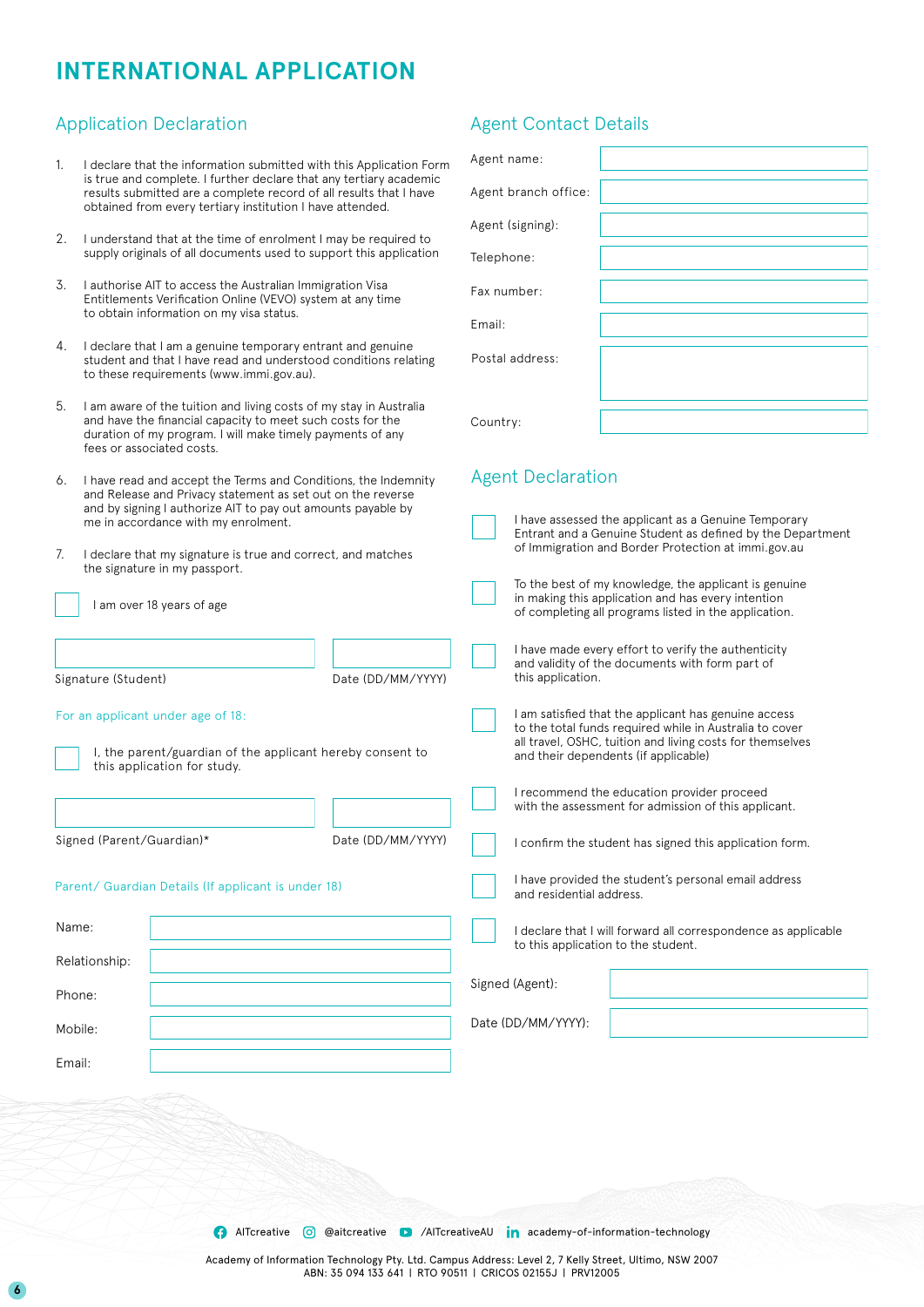### **INTERNATIONAL APPLICATION**

#### Application Declaration Agent Contact Details

- 1. I declare that the information submitted with this Application Form is true and complete. I further declare that any tertiary academic results submitted are a complete record of all results that I have obtained from every tertiary institution I have attended.
- 2. I understand that at the time of enrolment I may be required to supply originals of all documents used to support this application
- 3. I authorise AIT to access the Australian Immigration Visa Entitlements Verification Online (VEVO) system at any time to obtain information on my visa status.
- 4. I declare that I am a genuine temporary entrant and genuine student and that I have read and understood conditions relating to these requirements (www.immi.gov.au).
- 5. I am aware of the tuition and living costs of my stay in Australia and have the financial capacity to meet such costs for the duration of my program. I will make timely payments of any fees or associated costs.
- 6. I have read and accept the Terms and Conditions, the Indemnity and Release and Privacy statement as set out on the reverse and by signing I authorize AIT to pay out amounts payable by me in accordance with my enrolment.
- 7. I declare that my signature is true and correct, and matches the signature in my passport.
	- I am over 18 years of age

Signature (Student)

Date (DD/MM/YYYY)

#### For an applicant under age of 18:

I, the parent/guardian of the applicant hereby consent to this application for study.

Signed (Parent/Guardian)\*

Name:

Phone:

Mobile:

Email:

Relationship:

Date (DD/MM/YYYY)

Parent/ Guardian Details (If applicant is under 18)

| Agent name:          |  |
|----------------------|--|
| Agent branch office: |  |
| Agent (signing):     |  |
| Telephone:           |  |
| Fax number:          |  |
| Email:               |  |
| Postal address:      |  |
| Country:             |  |

#### Agent Declaration

|  | I have assessed the applicant as a Genuine Temporary<br>Entrant and a Genuine Student as defined by the Department<br>of Immigration and Border Protection at immi.gov.au                                            |  |  |
|--|----------------------------------------------------------------------------------------------------------------------------------------------------------------------------------------------------------------------|--|--|
|  | To the best of my knowledge, the applicant is genuine<br>in making this application and has every intention<br>of completing all programs listed in the application.                                                 |  |  |
|  | I have made every effort to verify the authenticity<br>and validity of the documents with form part of<br>this application.                                                                                          |  |  |
|  | I am satisfied that the applicant has genuine access<br>to the total funds required while in Australia to cover<br>all travel, OSHC, tuition and living costs for themselves<br>and their dependents (if applicable) |  |  |
|  | I recommend the education provider proceed<br>with the assessment for admission of this applicant.                                                                                                                   |  |  |
|  | I confirm the student has signed this application form.                                                                                                                                                              |  |  |
|  | I have provided the student's personal email address<br>and residential address.                                                                                                                                     |  |  |
|  | I declare that I will forward all correspondence as applicable<br>to this application to the student.                                                                                                                |  |  |
|  |                                                                                                                                                                                                                      |  |  |

Signed (Agent):

Date (DD/MM/YYYY):

**AITcreative** @ @aitcreative **D** /AITcreativeAU **in** academy-of-information-technology